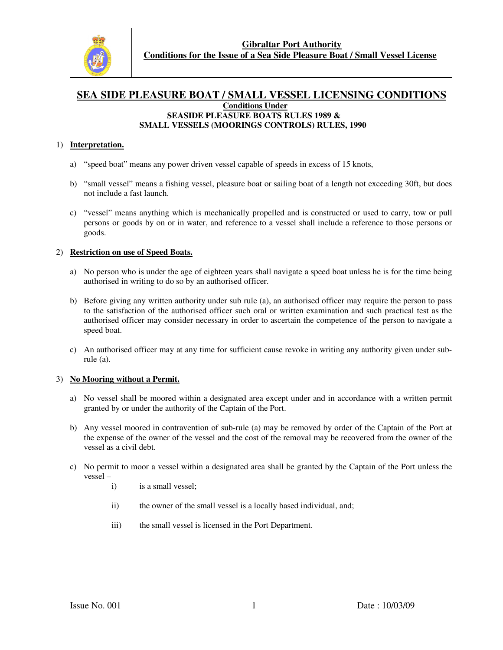

## **SEA SIDE PLEASURE BOAT / SMALL VESSEL LICENSING CONDITIONS Conditions Under SEASIDE PLEASURE BOATS RULES 1989 & SMALL VESSELS (MOORINGS CONTROLS) RULES, 1990**

### 1) **Interpretation.**

- a) "speed boat" means any power driven vessel capable of speeds in excess of 15 knots,
- b) "small vessel" means a fishing vessel, pleasure boat or sailing boat of a length not exceeding 30ft, but does not include a fast launch.
- c) "vessel" means anything which is mechanically propelled and is constructed or used to carry, tow or pull persons or goods by on or in water, and reference to a vessel shall include a reference to those persons or goods.

## 2) **Restriction on use of Speed Boats.**

- a) No person who is under the age of eighteen years shall navigate a speed boat unless he is for the time being authorised in writing to do so by an authorised officer.
- b) Before giving any written authority under sub rule (a), an authorised officer may require the person to pass to the satisfaction of the authorised officer such oral or written examination and such practical test as the authorised officer may consider necessary in order to ascertain the competence of the person to navigate a speed boat.
- c) An authorised officer may at any time for sufficient cause revoke in writing any authority given under subrule (a).

### 3) **No Mooring without a Permit.**

- a) No vessel shall be moored within a designated area except under and in accordance with a written permit granted by or under the authority of the Captain of the Port.
- b) Any vessel moored in contravention of sub-rule (a) may be removed by order of the Captain of the Port at the expense of the owner of the vessel and the cost of the removal may be recovered from the owner of the vessel as a civil debt.
- c) No permit to moor a vessel within a designated area shall be granted by the Captain of the Port unless the vessel –
	- i) is a small vessel;
	- ii) the owner of the small vessel is a locally based individual, and;
	- iii) the small vessel is licensed in the Port Department.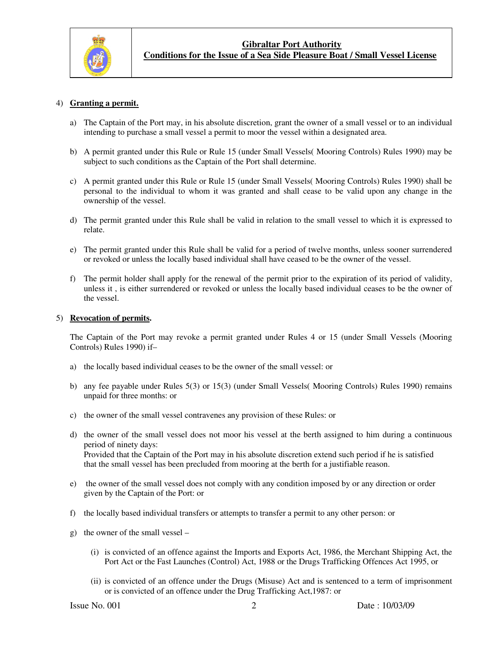

#### 4) **Granting a permit.**

- a) The Captain of the Port may, in his absolute discretion, grant the owner of a small vessel or to an individual intending to purchase a small vessel a permit to moor the vessel within a designated area.
- b) A permit granted under this Rule or Rule 15 (under Small Vessels( Mooring Controls) Rules 1990) may be subject to such conditions as the Captain of the Port shall determine.
- c) A permit granted under this Rule or Rule 15 (under Small Vessels( Mooring Controls) Rules 1990) shall be personal to the individual to whom it was granted and shall cease to be valid upon any change in the ownership of the vessel.
- d) The permit granted under this Rule shall be valid in relation to the small vessel to which it is expressed to relate.
- e) The permit granted under this Rule shall be valid for a period of twelve months, unless sooner surrendered or revoked or unless the locally based individual shall have ceased to be the owner of the vessel.
- f) The permit holder shall apply for the renewal of the permit prior to the expiration of its period of validity, unless it , is either surrendered or revoked or unless the locally based individual ceases to be the owner of the vessel.

#### 5) **Revocation of permits.**

 The Captain of the Port may revoke a permit granted under Rules 4 or 15 (under Small Vessels (Mooring Controls) Rules 1990) if–

- a) the locally based individual ceases to be the owner of the small vessel: or
- b) any fee payable under Rules 5(3) or 15(3) (under Small Vessels( Mooring Controls) Rules 1990) remains unpaid for three months: or
- c) the owner of the small vessel contravenes any provision of these Rules: or
- d) the owner of the small vessel does not moor his vessel at the berth assigned to him during a continuous period of ninety days: Provided that the Captain of the Port may in his absolute discretion extend such period if he is satisfied that the small vessel has been precluded from mooring at the berth for a justifiable reason.
- e) the owner of the small vessel does not comply with any condition imposed by or any direction or order given by the Captain of the Port: or
- f) the locally based individual transfers or attempts to transfer a permit to any other person: or
- g) the owner of the small vessel
	- (i) is convicted of an offence against the Imports and Exports Act, 1986, the Merchant Shipping Act, the Port Act or the Fast Launches (Control) Act, 1988 or the Drugs Trafficking Offences Act 1995, or
	- (ii) is convicted of an offence under the Drugs (Misuse) Act and is sentenced to a term of imprisonment or is convicted of an offence under the Drug Trafficking Act,1987: or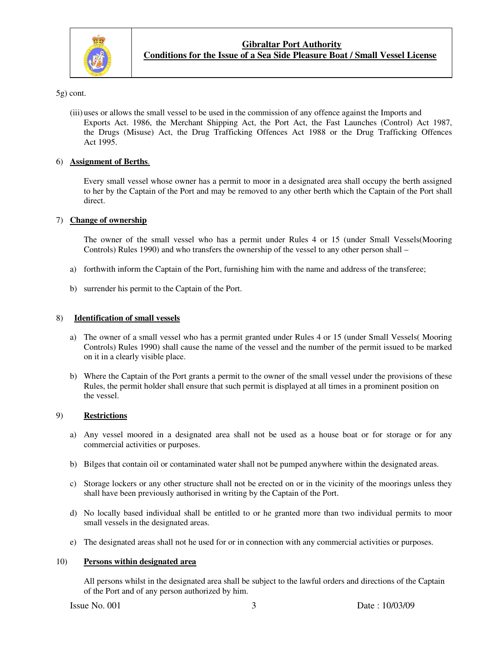

5g) cont.

(iii) uses or allows the small vessel to be used in the commission of any offence against the Imports and Exports Act. 1986, the Merchant Shipping Act, the Port Act, the Fast Launches (Control) Act 1987, the Drugs (Misuse) Act, the Drug Trafficking Offences Act 1988 or the Drug Trafficking Offences Act 1995.

### 6) **Assignment of Berths**.

Every small vessel whose owner has a permit to moor in a designated area shall occupy the berth assigned to her by the Captain of the Port and may be removed to any other berth which the Captain of the Port shall direct.

## 7) **Change of ownership**

 The owner of the small vessel who has a permit under Rules 4 or 15 (under Small Vessels(Mooring Controls) Rules 1990) and who transfers the ownership of the vessel to any other person shall –

- a) forthwith inform the Captain of the Port, furnishing him with the name and address of the transferee;
- b) surrender his permit to the Captain of the Port.

## 8) **Identification of small vessels**

- a) The owner of a small vessel who has a permit granted under Rules 4 or 15 (under Small Vessels( Mooring Controls) Rules 1990) shall cause the name of the vessel and the number of the permit issued to be marked on it in a clearly visible place.
- b) Where the Captain of the Port grants a permit to the owner of the small vessel under the provisions of these Rules, the permit holder shall ensure that such permit is displayed at all times in a prominent position on the vessel.

## 9) **Restrictions**

- a) Any vessel moored in a designated area shall not be used as a house boat or for storage or for any commercial activities or purposes.
- b) Bilges that contain oil or contaminated water shall not be pumped anywhere within the designated areas.
- c) Storage lockers or any other structure shall not be erected on or in the vicinity of the moorings unless they shall have been previously authorised in writing by the Captain of the Port.
- d) No locally based individual shall be entitled to or he granted more than two individual permits to moor small vessels in the designated areas.
- e) The designated areas shall not he used for or in connection with any commercial activities or purposes.

### 10) **Persons within designated area**

 All persons whilst in the designated area shall be subject to the lawful orders and directions of the Captain of the Port and of any person authorized by him.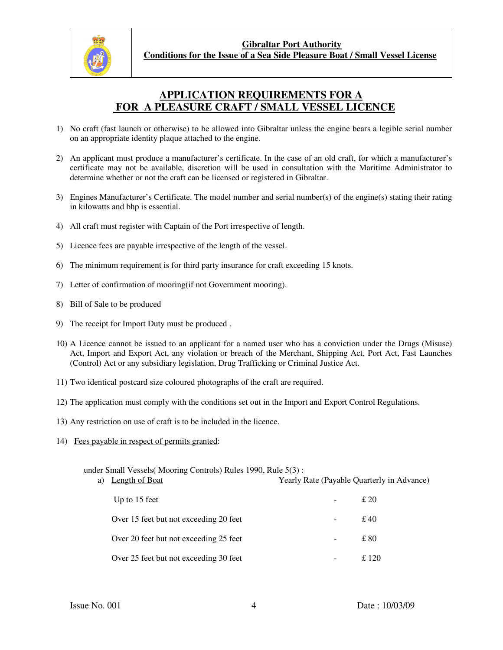

## **APPLICATION REQUIREMENTS FOR A FOR A PLEASURE CRAFT / SMALL VESSEL LICENCE**

- 1) No craft (fast launch or otherwise) to be allowed into Gibraltar unless the engine bears a legible serial number on an appropriate identity plaque attached to the engine.
- 2) An applicant must produce a manufacturer's certificate. In the case of an old craft, for which a manufacturer's certificate may not be available, discretion will be used in consultation with the Maritime Administrator to determine whether or not the craft can be licensed or registered in Gibraltar.
- 3) Engines Manufacturer's Certificate. The model number and serial number(s) of the engine(s) stating their rating in kilowatts and bhp is essential.
- 4) All craft must register with Captain of the Port irrespective of length.
- 5) Licence fees are payable irrespective of the length of the vessel.
- 6) The minimum requirement is for third party insurance for craft exceeding 15 knots.
- 7) Letter of confirmation of mooring(if not Government mooring).
- 8) Bill of Sale to be produced
- 9) The receipt for Import Duty must be produced .
- 10) A Licence cannot be issued to an applicant for a named user who has a conviction under the Drugs (Misuse) Act, Import and Export Act, any violation or breach of the Merchant, Shipping Act, Port Act, Fast Launches (Control) Act or any subsidiary legislation, Drug Trafficking or Criminal Justice Act.
- 11) Two identical postcard size coloured photographs of the craft are required.
- 12) The application must comply with the conditions set out in the Import and Export Control Regulations.
- 13) Any restriction on use of craft is to be included in the licence.
- 14) Fees payable in respect of permits granted:

under Small Vessels( Mooring Controls) Rules 1990, Rule 5(3) :

a) Length of Boat Yearly Rate (Payable Quarterly in Advance)

| Up to 15 feet                          |        | £20   |
|----------------------------------------|--------|-------|
| Over 15 feet but not exceeding 20 feet |        | £40   |
| Over 20 feet but not exceeding 25 feet |        | £ 80  |
| Over 25 feet but not exceeding 30 feet | $\sim$ | £ 120 |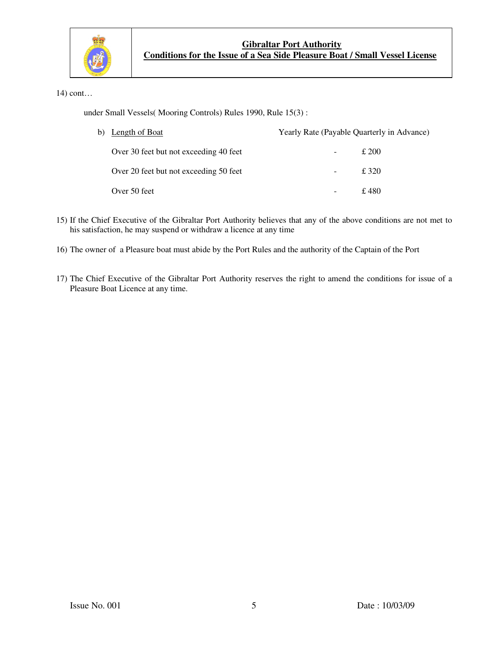

14) cont…

under Small Vessels( Mooring Controls) Rules 1990, Rule 15(3) :

| b) Length of Boat                      | Yearly Rate (Payable Quarterly in Advance) |               |
|----------------------------------------|--------------------------------------------|---------------|
| Over 30 feet but not exceeding 40 feet | Ξ.                                         | $\pounds$ 200 |
| Over 20 feet but not exceeding 50 feet | -                                          | £ 320         |
| Over 50 feet                           | -                                          | £480          |

- 15) If the Chief Executive of the Gibraltar Port Authority believes that any of the above conditions are not met to his satisfaction, he may suspend or withdraw a licence at any time
- 16) The owner of a Pleasure boat must abide by the Port Rules and the authority of the Captain of the Port
- 17) The Chief Executive of the Gibraltar Port Authority reserves the right to amend the conditions for issue of a Pleasure Boat Licence at any time.